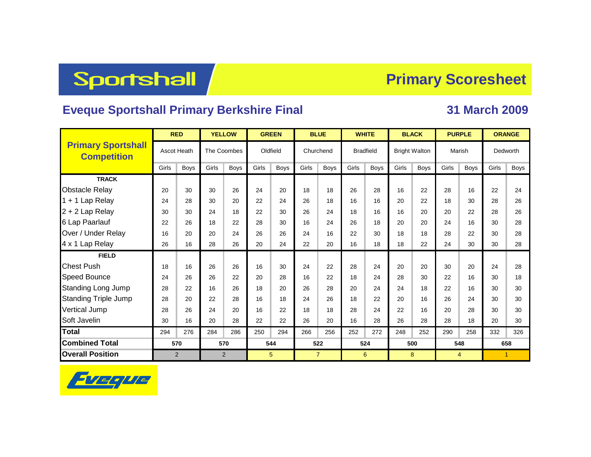# **Sportshall**

#### **Primary Scoresheet**

#### **Eveque Sportshall Primary Berkshire Final 31 March 2009**

|                                                 | <b>RED</b>         |             |                | <b>YELLOW</b> |          | <b>GREEN</b> |           | <b>BLUE</b>    |       | <b>WHITE</b>     |                      | <b>BLACK</b> |        | <b>PURPLE</b>  | <b>ORANGE</b>        |             |  |
|-------------------------------------------------|--------------------|-------------|----------------|---------------|----------|--------------|-----------|----------------|-------|------------------|----------------------|--------------|--------|----------------|----------------------|-------------|--|
| <b>Primary Sportshall</b><br><b>Competition</b> | <b>Ascot Heath</b> |             | The Coombes    |               | Oldfield |              | Churchend |                |       | <b>Bradfield</b> | <b>Bright Walton</b> |              | Marish |                | Dedworth             |             |  |
|                                                 | Girls              | <b>Boys</b> | Girls          | <b>Boys</b>   | Girls    | Boys         | Girls     | Boys           | Girls | <b>Boys</b>      | Girls                | <b>Boys</b>  | Girls  | <b>Boys</b>    | Girls                | <b>Boys</b> |  |
| <b>TRACK</b>                                    |                    |             |                |               |          |              |           |                |       |                  |                      |              |        |                |                      |             |  |
| <b>Obstacle Relay</b>                           | 20                 | 30          | 30             | 26            | 24       | 20           | 18        | 18             | 26    | 28               | 16                   | 22           | 28     | 16             | 22                   | 24          |  |
| $1 + 1$ Lap Relay                               | 24                 | 28          | 30             | 20            | 22       | 24           | 26        | 18             | 16    | 16               | 20                   | 22           | 18     | 30             | 28                   | 26          |  |
| $2 + 2$ Lap Relay                               | 30                 | 30          | 24             | 18            | 22       | 30           | 26        | 24             | 18    | 16               | 16                   | 20           | 20     | 22             | 28                   | 26          |  |
| 6 Lap Paarlauf                                  | 22                 | 26          | 18             | 22            | 28       | 30           | 16        | 24             | 26    | 18               | 20                   | 20           | 24     | 16             | 30                   | 28          |  |
| Over / Under Relay                              | 16                 | 20          | 20             | 24            | 26       | 26           | 24        | 16             | 22    | 30               | 18                   | 18           | 28     | 22             | 30                   | 28          |  |
| 4 x 1 Lap Relay                                 | 26                 | 16          | 28             | 26            | 20       | 24           | 22        | 20             | 16    | 18               | 18                   | 22           | 24     | 30             | 30                   | 28          |  |
| <b>FIELD</b>                                    |                    |             |                |               |          |              |           |                |       |                  |                      |              |        |                |                      |             |  |
| <b>Chest Push</b>                               | 18                 | 16          | 26             | 26            | 16       | 30           | 24        | 22             | 28    | 24               | 20                   | 20           | 30     | 20             | 24                   | 28          |  |
| <b>Speed Bounce</b>                             | 24                 | 26          | 26             | 22            | 20       | 28           | 16        | 22             | 18    | 24               | 28                   | 30           | 22     | 16             | 30                   | 18          |  |
| <b>Standing Long Jump</b>                       | 28                 | 22          | 16             | 26            | 18       | 20           | 26        | 28             | 20    | 24               | 24                   | 18           | 22     | 16             | 30                   | 30          |  |
| <b>Standing Triple Jump</b>                     | 28                 | 20          | 22             | 28            | 16       | 18           | 24        | 26             | 18    | 22               | 20                   | 16           | 26     | 24             | 30                   | 30          |  |
| <b>Vertical Jump</b>                            | 28                 | 26          | 24             | 20            | 16       | 22           | 18        | 18             | 28    | 24               | 22                   | 16           | 20     | 28             | 30                   | 30          |  |
| Soft Javelin                                    | 30                 | 16          | 20             | 28            | 22       | 22           | 26        | 20             | 16    | 28               | 26                   | 28           | 28     | 18             | 20                   | 30          |  |
| <b>Total</b>                                    | 294                | 276         | 284            | 286           | 250      | 294          | 266       | 256            | 252   | 272              | 248                  | 252          | 290    | 258            | 332                  | 326         |  |
| <b>Combined Total</b>                           | 570                |             | 570            |               | 544      |              |           | 522            |       | 524              |                      | 500          |        | 548            | 658                  |             |  |
| <b>Overall Position</b>                         | $\overline{2}$     |             | $\overline{2}$ |               | 5        |              |           | $\overline{7}$ |       | 6                |                      | 8            |        | $\overline{4}$ | $\blacktriangleleft$ |             |  |

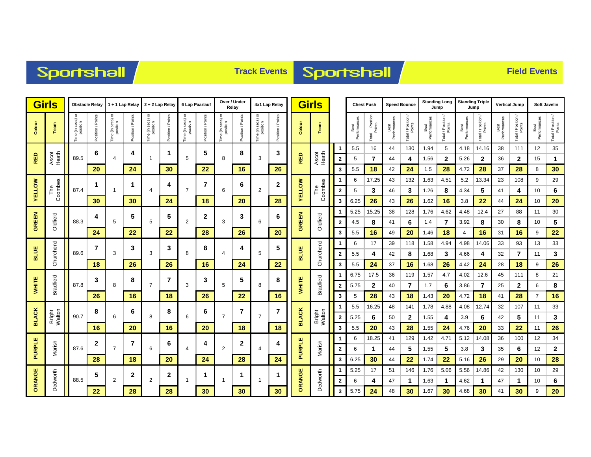## Sportshall

## **Track Events Sportshall**

|               | <b>Girls</b><br><b>Obstacle Relay</b> |                              |                   | 1 + 1 Lap Relay                       |                   | 2 + 2 Lap Relay               |                          | 6 Lap Paarlauf                     |                   | Over / Under<br>Relay                 |                  | 4x1 Lap Relay                 |                   | <b>Girls</b>  |                            |                         | <b>Chest Push</b>    |                               | <b>Speed Bounce</b>  |                              | <b>Standing Long</b><br>Jump |                              | <b>Standing Triple</b><br>Jump |                              | <b>Vertical Jump</b> |                              | <b>Soft Javelin</b>  |                              |
|---------------|---------------------------------------|------------------------------|-------------------|---------------------------------------|-------------------|-------------------------------|--------------------------|------------------------------------|-------------------|---------------------------------------|------------------|-------------------------------|-------------------|---------------|----------------------------|-------------------------|----------------------|-------------------------------|----------------------|------------------------------|------------------------------|------------------------------|--------------------------------|------------------------------|----------------------|------------------------------|----------------------|------------------------------|
| Colour        | eam                                   | ime (in secs) or<br>position | Position / Points | e (in secs) or<br>position<br>ime (in | Points<br>osition | "ime (in secs) or<br>position | / Points<br>Position     | e (in secs) or<br>position<br>Lime | Position / Points | a (in secs) or<br>position<br>ime (in | osition / Points | Time (in secs) or<br>position | Position / Points | Colour        | Team                       |                         | Best<br>Performances | l Position<br>Points<br>Total | Best<br>Performances | Total / Position /<br>Points | Best<br>Performances         | Total / Position /<br>Points | Performance<br>Best            | Total / Position /<br>Points | Best<br>Performances | Total / Position /<br>Points | Best<br>Performances | Total / Position /<br>Points |
|               |                                       |                              | 6                 |                                       | 4                 |                               | 1                        |                                    | 5                 |                                       | 8                |                               | 3                 |               |                            |                         | 5.5                  | 16                            | 44                   | 130                          | 1.94                         | 5                            | 4.18                           | 14.16                        | 38                   | 111                          | 12                   | 35                           |
| RED           | Ascot<br>Heath                        | 89.5                         |                   | $\overline{4}$                        |                   | $\overline{1}$                |                          | 5                                  |                   | 8                                     |                  | 3                             |                   | <b>RED</b>    | Ascot<br>Heath             | $\overline{\mathbf{2}}$ | 5                    | $\overline{7}$                | 44                   | 4                            | 1.56                         | $\mathbf{2}$                 | 5.26                           | 2                            | 36                   | 2                            | 15                   | 1                            |
|               |                                       |                              | 20                |                                       | 24                |                               | 30                       |                                    | 22                |                                       | 16               |                               | 26                |               |                            | 3                       | 5.5                  | 18                            | 42                   | 24                           | 1.5                          | 28                           | 4.72                           | 28                           | 37                   | 28                           | 8                    | 30                           |
|               |                                       |                              | 1                 |                                       | 1                 |                               | 4                        |                                    | 7                 |                                       | 6                |                               | 2                 |               |                            |                         | 6                    | 17.25                         | 43                   | 132                          | 1.63                         | 4.51                         | 5.2                            | 13.34                        | 23                   | 108                          | 9                    | 29                           |
| <b>YELLOW</b> | The<br>Coombes                        | 87.4                         |                   | $\mathbf{1}$                          |                   | $\overline{4}$                |                          | $\overline{7}$                     |                   | 6                                     |                  | 2                             |                   | <b>AELLOM</b> | Coombes<br>$P_{\text{me}}$ | $\mathbf{2}$            | 5                    | 3                             | 46                   | 3                            | 1.26                         | 8                            | 4.34                           | 5                            | 41                   | 4                            | 10                   | 6                            |
|               |                                       |                              | 30                |                                       | 30                |                               | 24                       |                                    | 18                |                                       | 20               |                               | 28                |               |                            | 3                       | 6.25                 | 26                            | 43                   | 26                           | 1.62                         | 16                           | 3.8                            | 22                           | 44                   | 24                           | 10                   | 20                           |
| GREEN         |                                       | 88.3                         | 4                 |                                       | 5                 |                               | 5                        |                                    | 2                 |                                       | 3                |                               | 6                 |               |                            | -1                      | 5.25                 | 15.25                         | 38                   | 128                          | 1.76                         | 4.62                         | 4.48                           | 12.4                         | 27                   | 88                           | 11                   | $30\,$                       |
|               | Oldfield                              |                              |                   | 5                                     |                   | 5                             |                          | $\overline{2}$                     |                   | 3                                     |                  | 6                             |                   | GREEN         | Oldfield                   | $\overline{2}$          | 4.5                  | 8                             | 41                   | 6                            | 1.4                          | $\overline{7}$               | 3.92                           | 8                            | 30                   | 8                            | 10                   | 5                            |
|               |                                       |                              | 24                |                                       | 22                |                               | 22                       |                                    | 28                |                                       | 26               |                               | 20                |               |                            | 3                       | 5.5                  | 16                            | 49                   | 20                           | 1.46                         | 18                           | $\overline{4}$                 | 16                           | 31                   | 16                           | 9                    | 22                           |
| <b>BLUE</b>   | Churchend                             |                              | 7                 | 3                                     |                   |                               | 3                        |                                    | 8                 |                                       | 4                |                               | 5                 |               | Churchend                  |                         | 6                    | 17                            | 39                   | 118                          | 1.58                         | 4.94                         | 4.98                           | 14.06                        | 33                   | 93                           | 13                   | 33                           |
|               |                                       | 89.6                         |                   | 3                                     |                   | 3                             | 8                        |                                    | 4                 |                                       | 5                |                               | <b>BLUE</b>       |               | $\overline{2}$             | 5.5                     | 4                    | 42                            | 8                    | 1.68                         | 3                            | 4.66                         | 4                              | 32                           | $\overline{7}$       | 11                           | 3                    |                              |
|               |                                       |                              | 18                |                                       | 26                |                               | 26                       |                                    | 16                |                                       | 24               |                               | 22                |               |                            | 3                       | 5.5                  | 24                            | 37                   | 16                           | 1.68                         | 26                           | 4.42                           | 24                           | 28                   | 18                           | 9                    | 26                           |
|               |                                       | 87.8                         | 3                 | 8                                     | 8                 |                               | 7<br>$\overline{7}$<br>3 |                                    | 3                 |                                       | 5                | 8                             | 8                 |               | <b>Bradfield</b>           | $\mathbf 1$             | 6.75                 | 17.5                          | 36                   | 119                          | 1.57                         | 4.7                          | 4.02                           | 12.6                         | 45                   | 111                          | 8                    | 21                           |
| <b>WHITE</b>  | Bradfield                             |                              |                   |                                       |                   |                               |                          |                                    |                   | 5                                     |                  |                               |                   | WHITE         |                            | $\overline{2}$          | 5.75                 | $\mathbf 2$                   | 40                   | $\overline{7}$               | 1.7                          | 6                            | 3.86                           | $\overline{7}$               | 25                   | $\mathbf{2}$                 | 6<br>$\overline{7}$  | 8                            |
|               |                                       |                              | 26                |                                       | 16                |                               | 18                       |                                    | 26                |                                       | 22               |                               | 16                |               |                            | 3<br>-1                 | 5                    | 28<br>16.25                   | 43                   | 18                           | 1.43<br>1.78                 | 20<br>4.88                   | 4.72                           | 18<br>12.74                  | 41<br>32             | 28<br>107                    |                      | 16                           |
| <b>BLACK</b>  | Bright<br>Walton                      | 90.7                         | 8                 | 6                                     | 6                 | 8                             | 8                        | 6                                  | 6                 | $\overline{7}$                        | 7                | $\overline{7}$                | 7<br>18           | <b>BLACK</b>  | Bright<br>Walton           | $\overline{\mathbf{2}}$ | 5.5<br>5.25          | 6                             | 48<br>50             | 141<br>$\mathbf{2}$          | 1.55                         | 4                            | 4.08<br>3.9                    | 6                            | 42                   | 5                            | 11<br>11             | 33<br>3                      |
|               |                                       |                              | 16                |                                       | 20                |                               | 16                       |                                    | 20                |                                       | 18               |                               |                   |               |                            | 3                       | 5.5                  | 20                            | 43                   | 28                           | 1.55                         | 24                           | 4.76                           | 20                           | 33                   | 22                           | 11                   | 26                           |
|               |                                       |                              |                   |                                       |                   |                               |                          |                                    |                   |                                       |                  |                               |                   |               |                            | 1                       | 6                    | 18.25                         | 41                   | 129                          | 1.42                         | 4.71                         | 5.12                           | 14.08                        | 36                   | 100                          | 12                   | 34                           |
| <b>PURPLE</b> | Marish                                | 87.6                         | $\mathbf{2}$      | $\overline{7}$                        | 7                 | 6                             | 6                        | 4                                  | 4                 | 2                                     | $\mathbf{2}$     | $\overline{4}$                | 4                 | PURPLE        | Marish                     | $\overline{\mathbf{2}}$ | 6                    | 1                             | 44                   | 5                            | 1.55                         | 5                            | 3.8                            | 3                            | 35                   | 6                            | 12                   | $\mathbf{2}$                 |
|               |                                       |                              | 28                |                                       | 18                |                               | 20                       |                                    | 24                |                                       | 28               |                               | 24                |               |                            | 3                       | 6.25                 | 30                            | 44                   | 22                           | 1.74                         | 22                           | 5.16                           | 26                           | 29                   | 20                           | 10                   | 28                           |
|               |                                       |                              |                   |                                       |                   |                               |                          |                                    |                   |                                       |                  |                               |                   |               |                            | $\mathbf 1$             | 5.25                 | 17                            | 51                   | 146                          | 1.76                         | 5.06                         | 5.56                           | 14.86                        | 42                   | 130                          | 10                   | 29                           |
| ORANGE        | Dedworth                              | 88.5                         | 5                 | $\overline{2}$                        | 2                 | $\overline{2}$                | 2                        | -1                                 | 1                 | $\mathbf 1$                           | 1                |                               | 1                 | ORANGE        | Dedworth                   | $\overline{\mathbf{2}}$ | 6                    | 4                             | 47                   | $\mathbf{1}$                 | 1.63                         | $\mathbf 1$                  | 4.62                           | $\mathbf 1$                  | 47                   | 1                            | 10                   | 6                            |
|               |                                       |                              | 22                |                                       | 28                |                               | 28                       |                                    | 30                |                                       | 30               |                               | 30                |               |                            | 3                       | 5.75                 | 24                            | 48                   | 30                           | 1.67                         | 30                           | 4.68                           | 30                           | 41                   | 30                           | 9                    | 20                           |